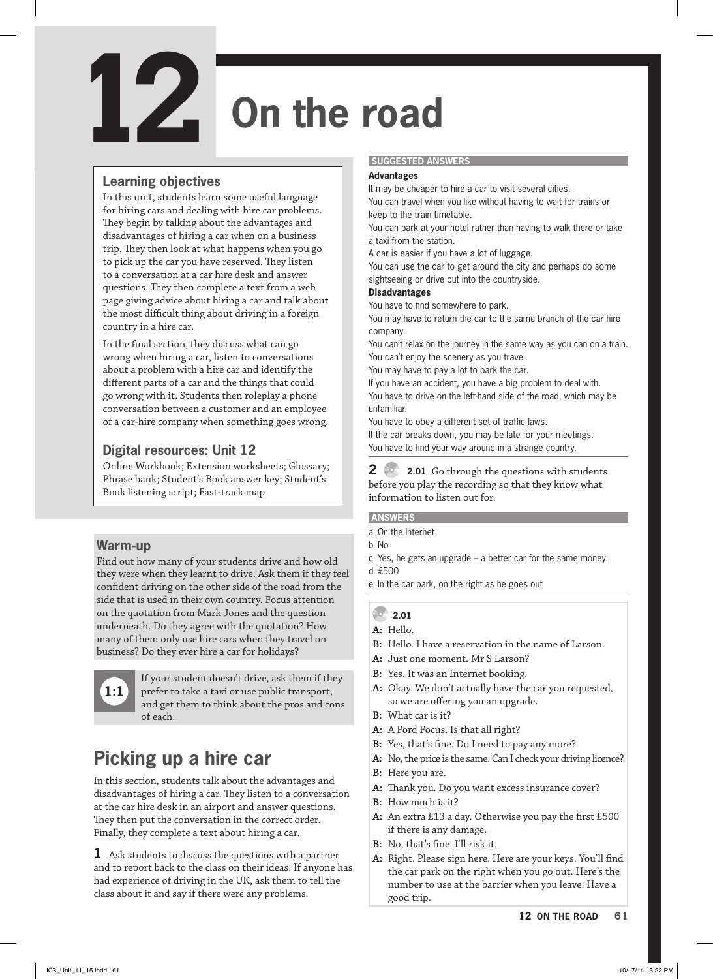# **On the road**

## **Learning objectives**

**12**

In this unit, students learn some useful language for hiring cars and dealing with hire car problems. They begin by talking about the advantages and disadvantages of hiring a car when on a business trip. They then look at what happens when you go to pick up the car you have reserved. They listen to a conversation at a car hire desk and answer questions. They then complete a text from a web page giving advice about hiring a car and talk about the most difficult thing about driving in a foreign country in a hire car.

In the final section, they discuss what can go wrong when hiring a car, listen to conversations about a problem with a hire car and identify the different parts of a car and the things that could go wrong with it. Students then roleplay a phone conversation between a customer and an employee of a car-hire company when something goes wrong.

## **Digital resources: Unit 12**

Online Workbook; Extension worksheets; Glossary; Phrase bank; Student's Book answer key; Student's Book listening script; Fast-track map

## **Warm-up**

Find out how many of your students drive and how old they were when they learnt to drive. Ask them if they feel confident driving on the other side of the road from the side that is used in their own country. Focus attention on the quotation from Mark Jones and the question underneath. Do they agree with the quotation? How many of them only use hire cars when they travel on business? Do they ever hire a car for holidays?



If your student doesn't drive, ask them if they prefer to take a taxi or use public transport, and get them to think about the pros and cons of each.

## **Picking up a hire car**

In this section, students talk about the advantages and disadvantages of hiring a car. They listen to a conversation at the car hire desk in an airport and answer questions. They then put the conversation in the correct order. Finally, they complete a text about hiring a car.

**1** Ask students to discuss the questions with a partner and to report back to the class on their ideas. If anyone has had experience of driving in the UK, ask them to tell the class about it and say if there were any problems.

#### **SUGGESTED ANSWERS**

#### **Advantages**

It may be cheaper to hire a car to visit several cities. You can travel when you like without having to wait for trains or keep to the train timetable.

You can park at your hotel rather than having to walk there or take a taxi from the station.

A car is easier if you have a lot of luggage.

You can use the car to get around the city and perhaps do some sightseeing or drive out into the countryside.

#### **Disadvantages**

You have to find somewhere to park.

You may have to return the car to the same branch of the car hire company.

You can't relax on the journey in the same way as you can on a train. You can't enjoy the scenery as you travel.

You may have to pay a lot to park the car.

If you have an accident, you have a big problem to deal with. You have to drive on the left-hand side of the road, which may be unfamiliar.

You have to obey a different set of traffic laws.

If the car breaks down, you may be late for your meetings. You have to find your way around in a strange country.

**2 2.01** Go through the questions with students before you play the recording so that they know what information to listen out for.

#### **ANSWERS**

- a On the Internet
- b No
- c Yes, he gets an upgrade a better car for the same money.
- d £500
- e In the car park, on the right as he goes out

### **2.01**

- **A:** Hello.
- **B:** Hello. I have a reservation in the name of Larson.
- **A:** Just one moment. Mr S Larson?
- **B:** Yes. It was an Internet booking.
- **A:** Okay. We don't actually have the car you requested, so we are offering you an upgrade.
- **B:** What car is it?
- **A:** A Ford Focus. Is that all right?
- **B:** Yes, that's fine. Do I need to pay any more?
- **A:** No, the price is the same. Can I check your driving licence?
- **B:** Here you are.
- **A:** Thank you. Do you want excess insurance cover?
- **B:** How much is it?
- **A:** An extra £13 a day. Otherwise you pay the first £500 if there is any damage.
- **B:** No, that's fine. I'll risk it.
- **A:** Right. Please sign here. Here are your keys. You'll find the car park on the right when you go out. Here's the number to use at the barrier when you leave. Have a good trip.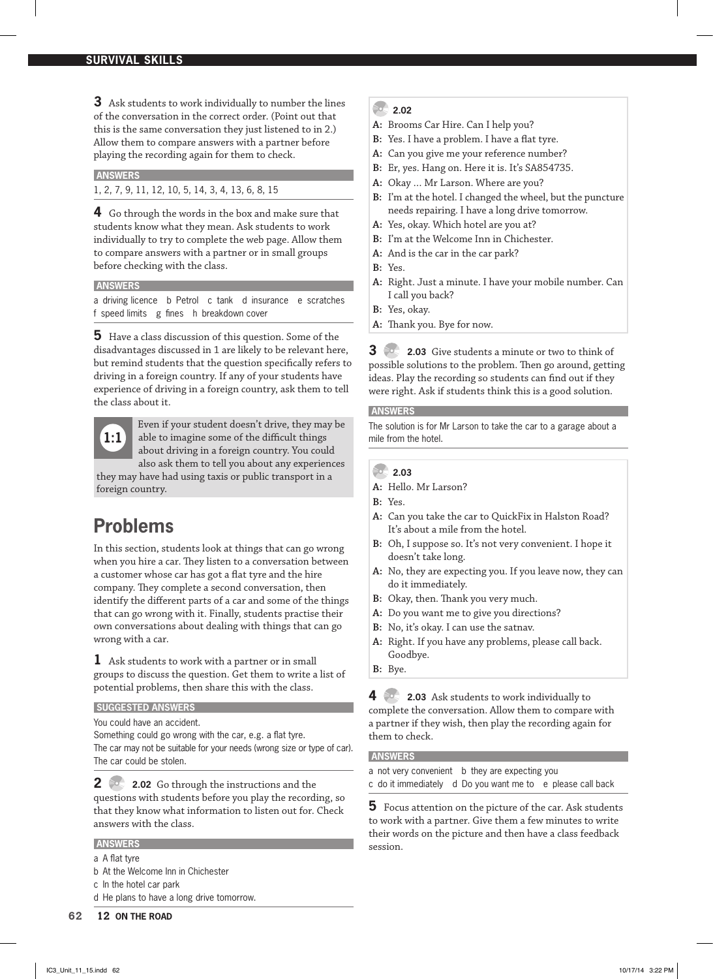**3** Ask students to work individually to number the lines of the conversation in the correct order. (Point out that this is the same conversation they just listened to in 2.) Allow them to compare answers with a partner before playing the recording again for them to check.

#### **ANSWERS**

1, 2, 7, 9, 11, 12, 10, 5, 14, 3, 4, 13, 6, 8, 15

**4** Go through the words in the box and make sure that students know what they mean. Ask students to work individually to try to complete the web page. Allow them to compare answers with a partner or in small groups before checking with the class.

#### **ANSWERS**

a driving licence b Petrol c tank d insurance e scratches f speed limits g fines h breakdown cover

**5** Have a class discussion of this question. Some of the disadvantages discussed in 1 are likely to be relevant here, but remind students that the question specifically refers to driving in a foreign country. If any of your students have experience of driving in a foreign country, ask them to tell the class about it.

**1:1**

Even if your student doesn't drive, they may be able to imagine some of the difficult things about driving in a foreign country. You could also ask them to tell you about any experiences

they may have had using taxis or public transport in a foreign country.

## **Problems**

In this section, students look at things that can go wrong when you hire a car. They listen to a conversation between a customer whose car has got a flat tyre and the hire company. They complete a second conversation, then identify the different parts of a car and some of the things that can go wrong with it. Finally, students practise their own conversations about dealing with things that can go wrong with a car.

**1** Ask students to work with a partner or in small groups to discuss the question. Get them to write a list of potential problems, then share this with the class.

#### **SUGGESTED ANSWERS**

You could have an accident.

Something could go wrong with the car, e.g. a flat tyre.

The car may not be suitable for your needs (wrong size or type of car). The car could be stolen.

**2 2.02** Go through the instructions and the questions with students before you play the recording, so that they know what information to listen out for. Check answers with the class.

#### **ANSWERS**

- a A flat tyre
- b At the Welcome Inn in Chichester
- c In the hotel car park
- d He plans to have a long drive tomorrow.

#### **2.02**

- **A:** Brooms Car Hire. Can I help you?
- **B:** Yes. I have a problem. I have a flat tyre.
- **A:** Can you give me your reference number?
- **B:** Er, yes. Hang on. Here it is. It's SA854735.
- **A:** Okay … Mr Larson. Where are you?
- **B:** I'm at the hotel. I changed the wheel, but the puncture needs repairing. I have a long drive tomorrow.
- **A:** Yes, okay. Which hotel are you at?
- **B:** I'm at the Welcome Inn in Chichester.
- **A:** And is the car in the car park?
- **B:** Yes.
- **A:** Right. Just a minute. I have your mobile number. Can I call you back?
- **B:** Yes, okay.
- **A:** Thank you. Bye for now.

**3 2.03** Give students a minute or two to think of possible solutions to the problem. Then go around, getting ideas. Play the recording so students can find out if they were right. Ask if students think this is a good solution.

#### **ANSWERS**

The solution is for Mr Larson to take the car to a garage about a mile from the hotel.

#### **2.03**

- **A:** Hello. Mr Larson?
- **B:** Yes.
- **A:** Can you take the car to QuickFix in Halston Road? It's about a mile from the hotel.
- **B:** Oh, I suppose so. It's not very convenient. I hope it doesn't take long.
- **A:** No, they are expecting you. If you leave now, they can do it immediately.
- **B:** Okay, then. Thank you very much.
- **A:** Do you want me to give you directions?
- **B:** No, it's okay. I can use the satnav.
- **A:** Right. If you have any problems, please call back. Goodbye.
- **B:** Bye.

**4 2.03** Ask students to work individually to complete the conversation. Allow them to compare with a partner if they wish, then play the recording again for them to check.

#### **ANSWERS**

- a not very convenient b they are expecting you
- c do it immediately d Do you want me to e please call back

**5** Focus attention on the picture of the car. Ask students to work with a partner. Give them a few minutes to write their words on the picture and then have a class feedback session.

 $\begin{matrix} \sim \ \sim \end{matrix}$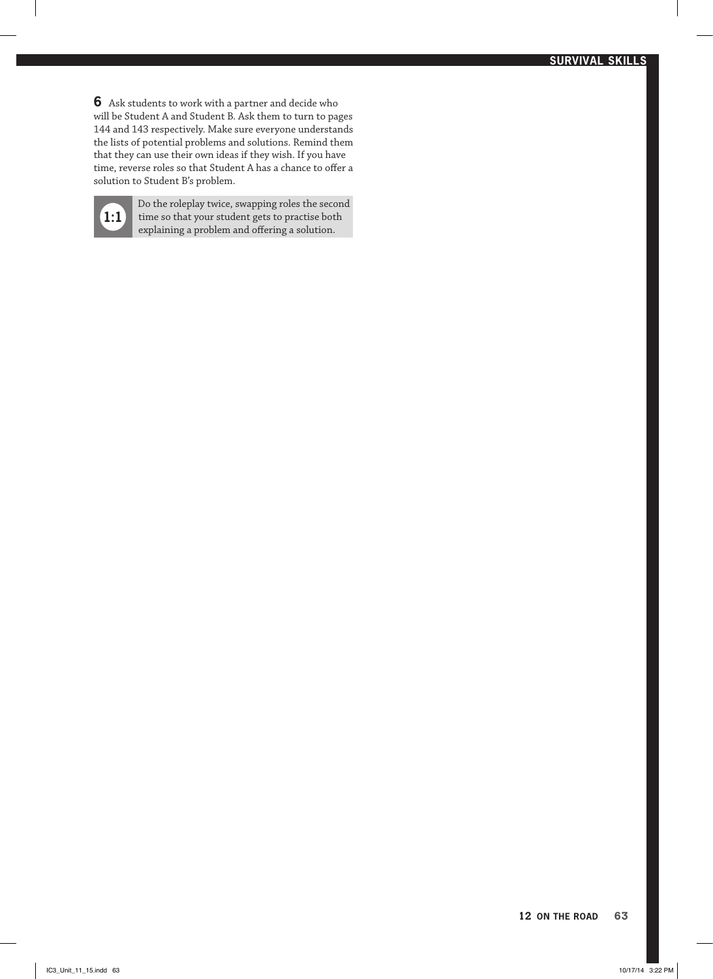**6** Ask students to work with a partner and decide who will be Student A and Student B. Ask them to turn to pages 144 and 143 respectively. Make sure everyone understands the lists of potential problems and solutions. Remind them that they can use their own ideas if they wish. If you have time, reverse roles so that Student A has a chance to offer a solution to Student B's problem.

**1:1**

Do the roleplay twice, swapping roles the second  $\begin{bmatrix}\n 1 \end{bmatrix}$  time so that your student gets to practise both explaining a problem and offering a solution. explaining a problem and offering a solution.

Artist Construction of the Construction of the Construction of the Construction of the Construction of the Construction of the Construction of the Construction of the Construction of the Construction of the Construction of

ARISONESS INSTITUTION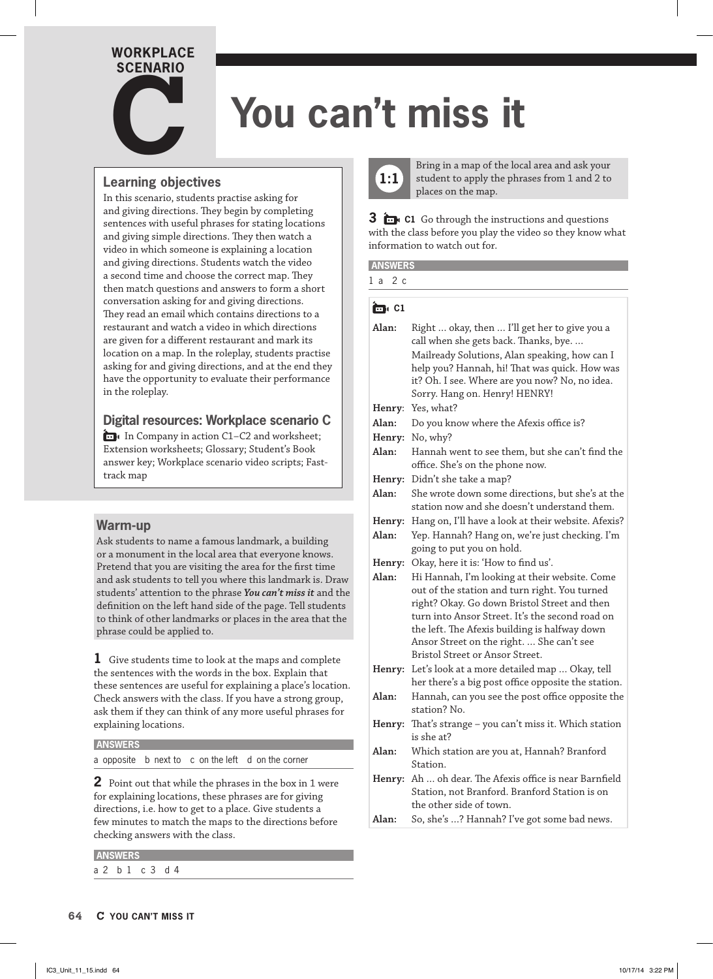## **WORKPLACE SCENARIO c**<br>**c**<br>**c**

## **You can't miss it**

## **Learning objectives**

In this scenario, students practise asking for and giving directions. They begin by completing sentences with useful phrases for stating locations and giving simple directions. They then watch a video in which someone is explaining a location and giving directions. Students watch the video a second time and choose the correct map. They then match questions and answers to form a short conversation asking for and giving directions. They read an email which contains directions to a restaurant and watch a video in which directions are given for a different restaurant and mark its location on a map. In the roleplay, students practise asking for and giving directions, and at the end they have the opportunity to evaluate their performance in the roleplay.

## **Digital resources: Workplace scenario C**

In Company in action C1–C2 and worksheet; Extension worksheets; Glossary; Student's Book answer key; Workplace scenario video scripts; Fasttrack map

### **Warm-up**

Ask students to name a famous landmark, a building or a monument in the local area that everyone knows. Pretend that you are visiting the area for the first time and ask students to tell you where this landmark is. Draw students' attention to the phrase *You can't miss it* and the definition on the left hand side of the page. Tell students to think of other landmarks or places in the area that the phrase could be applied to.

**1** Give students time to look at the maps and complete the sentences with the words in the box. Explain that these sentences are useful for explaining a place's location. Check answers with the class. If you have a strong group, ask them if they can think of any more useful phrases for explaining locations.

#### **ANSWERS**

a opposite b next to c on the left d on the corner

**2** Point out that while the phrases in the box in 1 were for explaining locations, these phrases are for giving directions, i.e. how to get to a place. Give students a few minutes to match the maps to the directions before checking answers with the class.

| a |  |  | P.<br>× | а.<br>٦ |  |
|---|--|--|---------|---------|--|



Bring in a map of the local area and ask your student to apply the phrases from 1 and 2 to places on the map.

**3 C1** Go through the instructions and questions with the class before you play the video so they know what information to watch out for.

#### **ich** C1

| Alan:  | Right  okay, then  I'll get her to give you a<br>call when she gets back. Thanks, bye.<br>Mailready Solutions, Alan speaking, how can I<br>help you? Hannah, hi! That was quick. How was<br>it? Oh. I see. Where are you now? No, no idea.<br>Sorry. Hang on. Henry! HENRY! |  |
|--------|-----------------------------------------------------------------------------------------------------------------------------------------------------------------------------------------------------------------------------------------------------------------------------|--|
| Henry: | Yes, what?                                                                                                                                                                                                                                                                  |  |
| Alan:  | Do you know where the Afexis office is?                                                                                                                                                                                                                                     |  |
| Henry: | No, why?                                                                                                                                                                                                                                                                    |  |
| Alan:  | Hannah went to see them, but she can't find the<br>office. She's on the phone now.                                                                                                                                                                                          |  |
| Henry: | Didn't she take a map?                                                                                                                                                                                                                                                      |  |
| Alan:  | She wrote down some directions, but she's at the<br>station now and she doesn't understand them.                                                                                                                                                                            |  |
|        | Henry: Hang on, I'll have a look at their website. Afexis?                                                                                                                                                                                                                  |  |
| Alan:  | Yep. Hannah? Hang on, we're just checking. I'm                                                                                                                                                                                                                              |  |
|        | going to put you on hold.                                                                                                                                                                                                                                                   |  |
| Henry: | Okay, here it is: 'How to find us'.                                                                                                                                                                                                                                         |  |
| Alan:  | Hi Hannah, I'm looking at their website. Come                                                                                                                                                                                                                               |  |
| INT    | out of the station and turn right. You turned<br>right? Okay. Go down Bristol Street and then<br>turn into Ansor Street. It's the second road on<br>the left. The Afexis building is halfway down<br>Ansor Street on the right.  She can't see                              |  |
|        | Bristol Street or Ansor Street.                                                                                                                                                                                                                                             |  |
| Henry: | Let's look at a more detailed map  Okay, tell                                                                                                                                                                                                                               |  |
|        | her there's a big post office opposite the station.                                                                                                                                                                                                                         |  |
| Alan:  | Hannah, can you see the post office opposite the<br>station? No.                                                                                                                                                                                                            |  |
| Henry: | That's strange - you can't miss it. Which station                                                                                                                                                                                                                           |  |
|        | is she at?                                                                                                                                                                                                                                                                  |  |
| Alan:  | Which station are you at, Hannah? Branford<br>Station.                                                                                                                                                                                                                      |  |
| Henry: | Ah  oh dear. The Afexis office is near Barnfield                                                                                                                                                                                                                            |  |
|        | Station, not Branford. Branford Station is on                                                                                                                                                                                                                               |  |
|        | the other side of town.                                                                                                                                                                                                                                                     |  |
| Alan:  | So, she's ? Hannah? I've got some bad news.                                                                                                                                                                                                                                 |  |

RIVE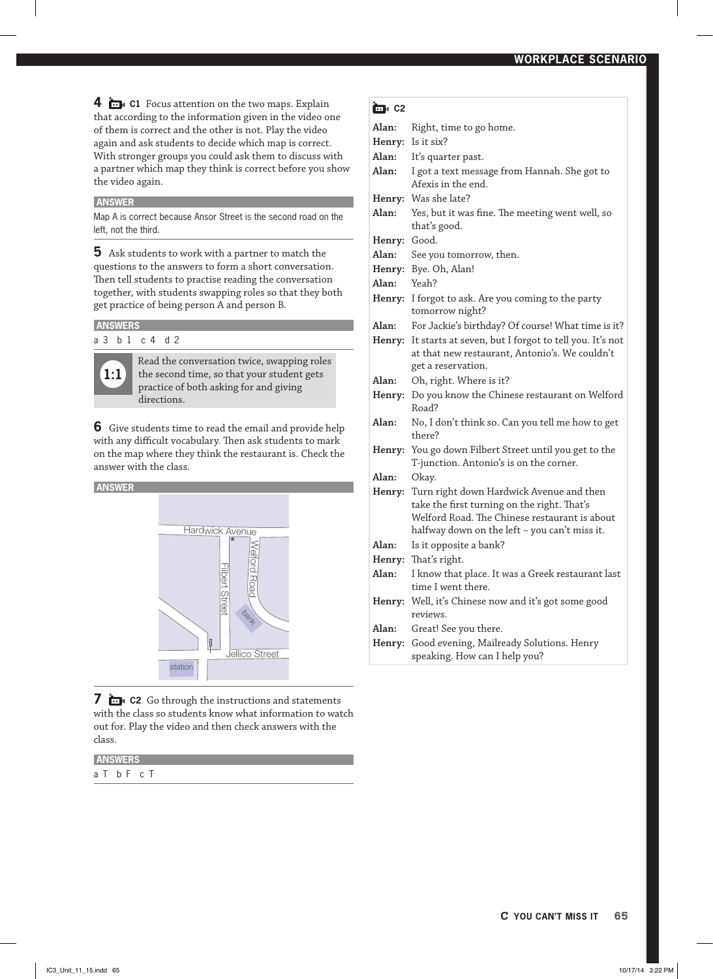**4 i C1** Focus attention on the two maps. Explain that according to the information given in the video one of them is correct and the other is not. Play the video again and ask students to decide which map is correct. With stronger groups you could ask them to discuss with a partner which map they think is correct before you show the video again.

#### **ANSWER**

Map A is correct because Ansor Street is the second road on the left, not the third.

**5** Ask students to work with a partner to match the questions to the answers to form a short conversation. Then tell students to practise reading the conversation together, with students swapping roles so that they both get practice of being person A and person B.

#### **ANSWERS**

a 3 b 1 c 4 d 2



Read the conversation twice, swapping roles the second time, so that your student gets practice of both asking for and giving directions.

**6** Give students time to read the email and provide help with any difficult vocabulary. Then ask students to mark on the map where they think the restaurant is. Check the answer with the class.



**7 in c2** Go through the instructions and statements with the class so students know what information to watch out for. Play the video and then check answers with the class.

#### **ANSWERS**

a T b F c T

#### **îm** C2

| Alan:  | Right, time to go home.                                                                                                                                                                          |  |
|--------|--------------------------------------------------------------------------------------------------------------------------------------------------------------------------------------------------|--|
| Henry: | Is it six?                                                                                                                                                                                       |  |
| Alan:  | It's quarter past.                                                                                                                                                                               |  |
| Alan:  | I got a text message from Hannah. She got to<br>Afexis in the end.                                                                                                                               |  |
|        | Henry: Was she late?                                                                                                                                                                             |  |
| Alan:  | Yes, but it was fine. The meeting went well, so<br>that's good.                                                                                                                                  |  |
| Henry: | Good.                                                                                                                                                                                            |  |
| Alan:  | See you tomorrow, then.                                                                                                                                                                          |  |
|        | Henry: Bye. Oh, Alan!                                                                                                                                                                            |  |
| Alan:  | Yeah?                                                                                                                                                                                            |  |
|        | Henry: I forgot to ask. Are you coming to the party<br>tomorrow night?                                                                                                                           |  |
| Alan:  | For Jackie's birthday? Of course! What time is it?                                                                                                                                               |  |
| Henry: | It starts at seven, but I forgot to tell you. It's not<br>at that new restaurant, Antonio's. We couldn't<br>get a reservation.                                                                   |  |
| Alan:  | Oh, right. Where is it?                                                                                                                                                                          |  |
|        | Henry: Do you know the Chinese restaurant on Welford<br>Road?                                                                                                                                    |  |
| Alan:  | No, I don't think so. Can you tell me how to get<br>there?                                                                                                                                       |  |
|        | Henry: You go down Filbert Street until you get to the<br>T-junction. Antonio's is on the corner.                                                                                                |  |
| Alan:  | Okay.                                                                                                                                                                                            |  |
|        | Henry: Turn right down Hardwick Avenue and then<br>take the first turning on the right. That's<br>Welford Road. The Chinese restaurant is about<br>halfway down on the left - you can't miss it. |  |
| Alan:  | Is it opposite a bank?                                                                                                                                                                           |  |
| Henry: | That's right.                                                                                                                                                                                    |  |
| Alan:  | I know that place. It was a Greek restaurant last                                                                                                                                                |  |
|        | time I went there.                                                                                                                                                                               |  |
|        | <b>Henry:</b> Well, it's Chinese now and it's got some good<br>reviews.                                                                                                                          |  |
| Alan:  | Great! See you there.                                                                                                                                                                            |  |
| Henry: | Good evening, Mailready Solutions. Henry<br>speaking. How can I help you?                                                                                                                        |  |
|        |                                                                                                                                                                                                  |  |